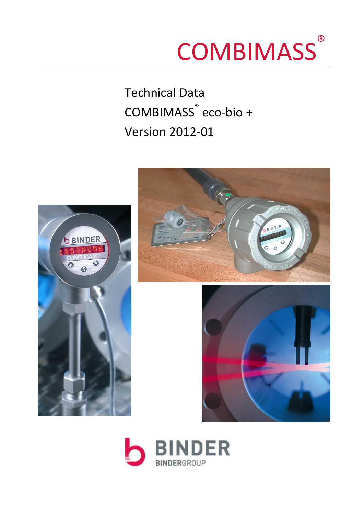# **COMBIMASS** ®

Technical Data COMBIMASS ® eco-bio + Version 2012-01





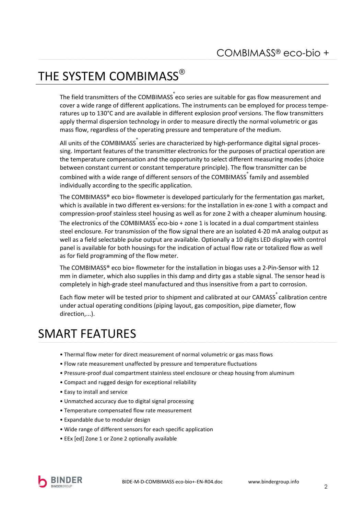## THE SYSTEM COMBIMASS®

The field transmitters of the COMBIMASS  $\degree$  eco series are suitable for gas flow measurement and cover a wide range of different applications. The instruments can be employed for process temperatures up to 130°C and are available in different explosion proof versions. The flow transmitters apply thermal dispersion technology in order to measure directly the normal volumetric or gas mass flow, regardless of the operating pressure and temperature of the medium.

All units of the COMBIMASS series are characterized by high-performance digital signal processing. Important features of the transmitter electronics for the purposes of practical operation are the temperature compensation and the opportunity to select different measuring modes (choice between constant current or constant temperature principle). The flow transmitter can be combined with a wide range of different sensors of the COMBIMASS family and assembled individually according to the specific application.

The COMBIMASS® eco bio+ flowmeter is developed particularly for the fermentation gas market, which is available in two different ex-versions: for the installation in ex-zone 1 with a compact and compression-proof stainless steel housing as well as for zone 2 with a cheaper aluminum housing. The electronics of the COMBIMASS  $\r$ eco-bio + zone 1 is located in a dual compartment stainless steel enclosure. For transmission of the flow signal there are an isolated 4-20 mA analog output as well as a field selectable pulse output are available. Optionally a 10 digits LED display with control panel is available for both housings for the indication of actual flow rate or totalized flow as well as for field programming of the flow meter.

The COMBIMASS® eco bio+ flowmeter for the installation in biogas uses a 2-Pin-Sensor with 12 mm in diameter, which also supplies in this damp and dirty gas a stable signal. The sensor head is completely in high-grade steel manufactured and thus insensitive from a part to corrosion.

Each flow meter will be tested prior to shipment and calibrated at our CAMASS calibration centre under actual operating conditions (piping layout, gas composition, pipe diameter, flow direction,...).

### SMART FEATURES

- Thermal flow meter for direct measurement of normal volumetric or gas mass flows
- Flow rate measurement unaffected by pressure and temperature fluctuations
- Pressure-proof dual compartment stainless steel enclosure or cheap housing from aluminum
- Compact and rugged design for exceptional reliability
- Easy to install and service
- Unmatched accuracy due to digital signal processing
- Temperature compensated flow rate measurement
- Expandable due to modular design
- Wide range of different sensors for each specific application
- EEx [ed] Zone 1 or Zone 2 optionally available

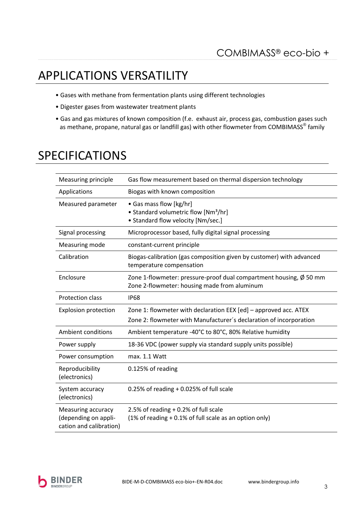## APPLICATIONS VERSATILITY

- Gases with methane from fermentation plants using different technologies
- Digester gases from wastewater treatment plants
- Gas and gas mixtures of known composition (f.e. exhaust air, process gas, combustion gases such as methane, propane, natural gas or landfill gas) with other flowmeter from COMBIMASS $^\circledast$  family

### SPECIFICATIONS

| Measuring principle                                                   | Gas flow measurement based on thermal dispersion technology                                                                  |  |
|-----------------------------------------------------------------------|------------------------------------------------------------------------------------------------------------------------------|--|
| Applications                                                          | Biogas with known composition                                                                                                |  |
| Measured parameter                                                    | • Gas mass flow [kg/hr]<br>• Standard volumetric flow [Nm <sup>3</sup> /hr]<br>• Standard flow velocity [Nm/sec.]            |  |
| Signal processing                                                     | Microprocessor based, fully digital signal processing                                                                        |  |
| Measuring mode                                                        | constant-current principle                                                                                                   |  |
| Calibration                                                           | Biogas-calibration (gas composition given by customer) with advanced<br>temperature compensation                             |  |
| Enclosure                                                             | Zone 1-flowmeter: pressure-proof dual compartment housing, $\emptyset$ 50 mm<br>Zone 2-flowmeter: housing made from aluminum |  |
| <b>Protection class</b>                                               | <b>IP68</b>                                                                                                                  |  |
| <b>Explosion protection</b>                                           | Zone 1: flowmeter with declaration EEX [ed] - approved acc. ATEX                                                             |  |
|                                                                       | Zone 2: flowmeter with Manufacturer's declaration of incorporation                                                           |  |
| <b>Ambient conditions</b>                                             | Ambient temperature -40°C to 80°C, 80% Relative humidity                                                                     |  |
| Power supply                                                          | 18-36 VDC (power supply via standard supply units possible)                                                                  |  |
| Power consumption                                                     | max. 1.1 Watt                                                                                                                |  |
| Reproducibility<br>(electronics)                                      | 0.125% of reading                                                                                                            |  |
| System accuracy<br>(electronics)                                      | 0.25% of reading $+0.025%$ of full scale                                                                                     |  |
| Measuring accuracy<br>(depending on appli-<br>cation and calibration) | 2.5% of reading $+0.2%$ of full scale<br>(1% of reading + 0.1% of full scale as an option only)                              |  |

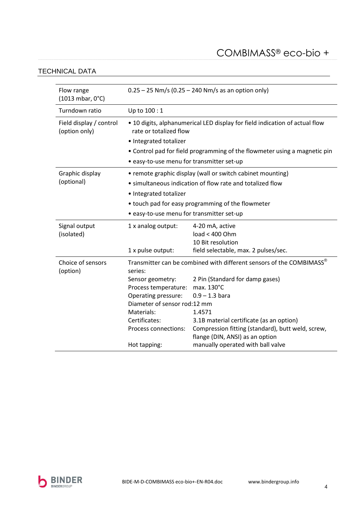### COMBIMASS® eco-bio +

#### TECHNICAL DATA

| Flow range<br>(1013 mbar, 0°C)           | $0.25 - 25$ Nm/s (0.25 – 240 Nm/s as an option only)                                                  |                                                                                               |  |
|------------------------------------------|-------------------------------------------------------------------------------------------------------|-----------------------------------------------------------------------------------------------|--|
| Turndown ratio                           | Up to 100:1                                                                                           |                                                                                               |  |
| Field display / control<br>(option only) | • 10 digits, alphanumerical LED display for field indication of actual flow<br>rate or totalized flow |                                                                                               |  |
|                                          | • Integrated totalizer                                                                                |                                                                                               |  |
|                                          | • Control pad for field programming of the flowmeter using a magnetic pin                             |                                                                                               |  |
|                                          | · easy-to-use menu for transmitter set-up                                                             |                                                                                               |  |
| Graphic display                          | • remote graphic display (wall or switch cabinet mounting)                                            |                                                                                               |  |
| (optional)                               | • simultaneous indication of flow rate and totalized flow                                             |                                                                                               |  |
|                                          | • Integrated totalizer                                                                                |                                                                                               |  |
|                                          | • touch pad for easy programming of the flowmeter                                                     |                                                                                               |  |
|                                          | · easy-to-use menu for transmitter set-up                                                             |                                                                                               |  |
| Signal output                            | 1 x analog output:                                                                                    | 4-20 mA, active                                                                               |  |
| (isolated)                               |                                                                                                       | load < 400 Ohm                                                                                |  |
|                                          |                                                                                                       | 10 Bit resolution                                                                             |  |
|                                          | 1 x pulse output:                                                                                     | field selectable, max. 2 pulses/sec.                                                          |  |
| Choice of sensors<br>(option)            | Transmitter can be combined with different sensors of the COMBIMASS®<br>series:                       |                                                                                               |  |
|                                          | Sensor geometry:                                                                                      | 2 Pin (Standard for damp gases)                                                               |  |
|                                          | Process temperature:                                                                                  | max. 130°C                                                                                    |  |
|                                          | Operating pressure:                                                                                   | $0.9 - 1.3$ bara                                                                              |  |
|                                          | Diameter of sensor rod:12 mm                                                                          |                                                                                               |  |
|                                          | Materials:                                                                                            | 1.4571                                                                                        |  |
|                                          | Certificates:<br>Process connections:                                                                 | 3.1B material certificate (as an option)<br>Compression fitting (standard), butt weld, screw, |  |
|                                          |                                                                                                       | flange (DIN, ANSI) as an option                                                               |  |
|                                          | Hot tapping:                                                                                          | manually operated with ball valve                                                             |  |
|                                          |                                                                                                       |                                                                                               |  |

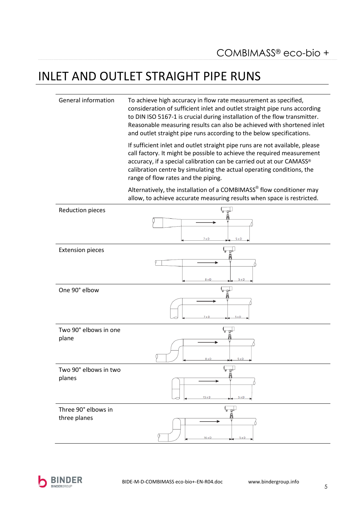### INLET AND OUTLET STRAIGHT PIPE RUNS

General information To achieve high accuracy in flow rate measurement as specified, consideration of sufficient inlet and outlet straight pipe runs according to DIN ISO 5167-1 is crucial during installation of the flow transmitter. Reasonable measuring results can also be achieved with shortened inlet and outlet straight pipe runs according to the below specifications.

> If sufficient inlet and outlet straight pipe runs are not available, please call factory. It might be possible to achieve the required measurement accuracy, if a special calibration can be carried out at our CAMASS® calibration centre by simulating the actual operating conditions, the range of flow rates and the piping.

> Alternatively, the installation of a COMBIMASS<sup>®</sup> flow conditioner may allow, to achieve accurate measuring results when space is restricted.



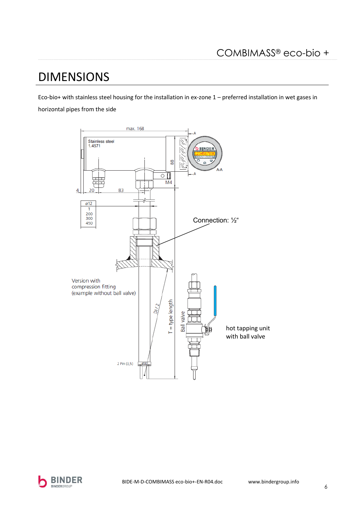### **DIMENSIONS**

Eco-bio+ with stainless steel housing for the installation in ex-zone 1 - preferred installation in wet gases in horizontal pipes from the side



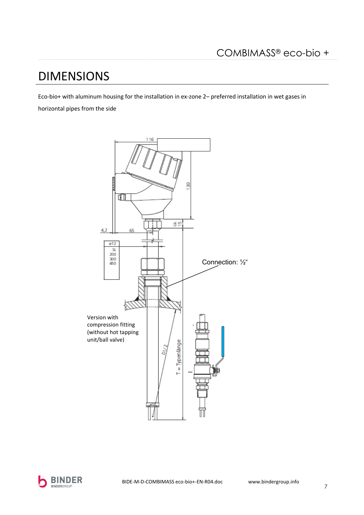## **DIMENSIONS**

Eco-bio+ with aluminum housing for the installation in ex-zone 2- preferred installation in wet gases in horizontal pipes from the side